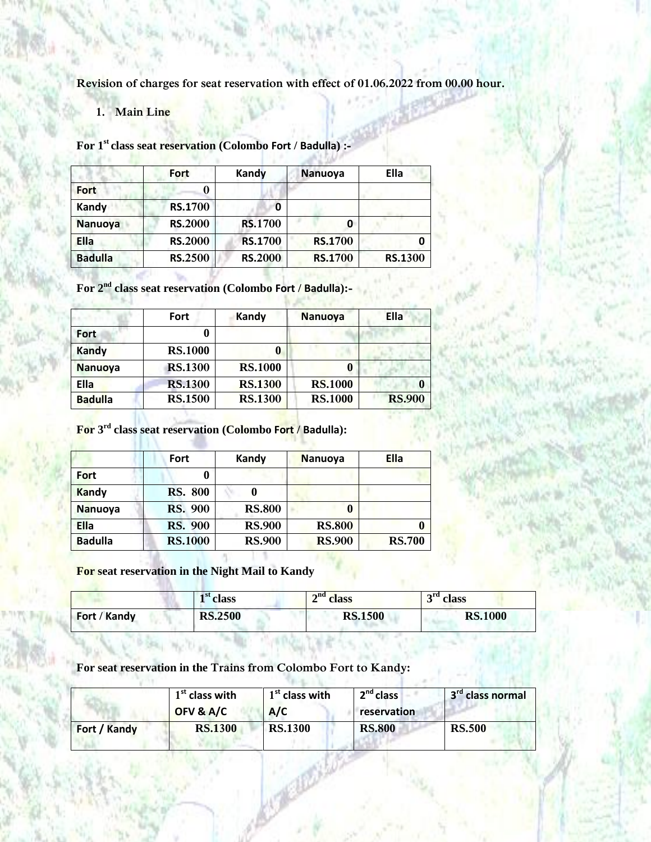**Revision of charges for seat reservation with effect of 01.06.2022 from 00.00 hour.**

**1. Main Line**

**For 1 st class seat reservation (Colombo Fort / Badulla) :-**

|                | Fort           | Kandy          | <b>Nanuoya</b> | Ella    |
|----------------|----------------|----------------|----------------|---------|
|                |                |                |                |         |
| <b>Fort</b>    |                |                |                |         |
| Kandy          | <b>RS.1700</b> | 0              |                |         |
| <b>Nanuoya</b> | <b>RS.2000</b> | <b>RS.1700</b> |                |         |
| <b>Ella</b>    | <b>RS.2000</b> | <b>RS.1700</b> | <b>RS.1700</b> |         |
| <b>Badulla</b> | <b>RS.2500</b> | <b>RS.2000</b> | <b>RS.1700</b> | RS.1300 |

**For 2 nd class seat reservation (Colombo Fort / Badulla):-**

|                | Fort           | Kandy          | <b>Nanuoya</b> | Ella          |
|----------------|----------------|----------------|----------------|---------------|
| Fort           |                |                |                |               |
| <b>Kandy</b>   | <b>RS.1000</b> |                |                |               |
| <b>Nanuoya</b> | <b>RS.1300</b> | <b>RS.1000</b> |                |               |
| <b>Ella</b>    | <b>RS.1300</b> | <b>RS.1300</b> | <b>RS.1000</b> | 0             |
| <b>Badulla</b> | <b>RS.1500</b> | <b>RS.1300</b> | <b>RS.1000</b> | <b>RS.900</b> |

**For 3 rd class seat reservation (Colombo Fort / Badulla):**

|                | Fort           | Kandy         | <b>Nanuoya</b> | <b>Ella</b>   |
|----------------|----------------|---------------|----------------|---------------|
| <b>Fort</b>    |                |               |                |               |
| <b>Kandy</b>   | <b>RS. 800</b> | v             |                |               |
| <b>Nanuoya</b> | <b>RS. 900</b> | <b>RS.800</b> |                |               |
| <b>Ella</b>    | <b>RS.</b> 900 | <b>RS.900</b> | <b>RS.800</b>  |               |
| <b>Badulla</b> | <b>RS.1000</b> | <b>RS.900</b> | <b>RS.900</b>  | <b>RS.700</b> |

**The Property** 

**For seat reservation in the Night Mail to Kandy**

n. v.

-91

|              | $\mathbf{1}^{\text{st}}$ class | $\mathbf{a}^{\rm nd}$ class | $\mathbf{r}^{\text{rd}}$ class |
|--------------|--------------------------------|-----------------------------|--------------------------------|
| Fort / Kandy | <b>RS.2500</b>                 | <b>RS.1500</b>              | <b>RS.1000</b>                 |

**For seat reservation in the Trains from Colombo Fort to Kandy:**

|              | $1st$ class with<br>OFV & A/C | $1st$ class with<br>A/C | 2 <sup>nd</sup> class<br>reservation | 3 <sup>rd</sup> class normal |
|--------------|-------------------------------|-------------------------|--------------------------------------|------------------------------|
| Fort / Kandy | <b>RS.1300</b>                | <b>RS.1300</b>          | <b>RS.800</b>                        | <b>RS.500</b>                |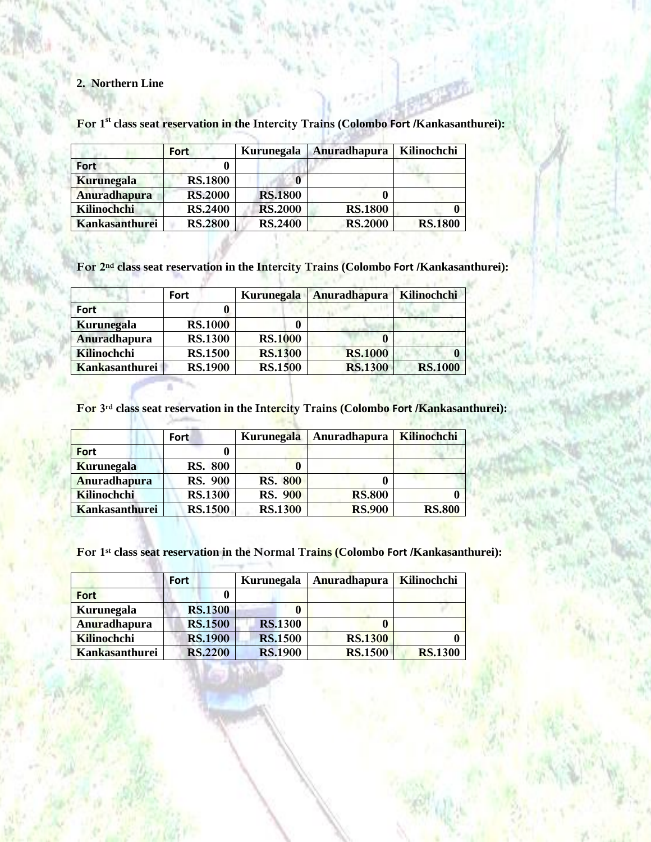## **2. Northern Line**

New York St

**ALCOHOL** 

|                     | <b>Fort</b>    | Kurunegala     | Anuradhapura   | Kilinochchi    |
|---------------------|----------------|----------------|----------------|----------------|
| Fort                |                |                |                |                |
| <b>Kurunegala</b>   | <b>RS.1800</b> |                |                |                |
| <b>Anuradhapura</b> | <b>RS.2000</b> | <b>RS.1800</b> |                |                |
| Kilinochchi         | <b>RS.2400</b> | <b>RS.2000</b> | <b>RS.1800</b> |                |
| Kankasanthurei      | <b>RS.2800</b> | <b>RS.2400</b> | <b>RS.2000</b> | <b>RS.1800</b> |

**For 1 st class seat reservation in the Intercity Trains (Colombo Fort /Kankasanthurei):**

**For 2nd class seat reservation in the Intercity Trains (Colombo Fort /Kankasanthurei):** - N  $-1 - 11$ 

|                     | Fort           | <b>Kurunegala</b> | Anuradhapura   | Kilinochchi    |
|---------------------|----------------|-------------------|----------------|----------------|
| <b>Fort</b>         |                |                   |                |                |
| <b>Kurunegala</b>   | <b>RS.1000</b> |                   |                |                |
| <b>Anuradhapura</b> | <b>RS.1300</b> | <b>RS.1000</b>    |                |                |
| Kilinochchi         | <b>RS.1500</b> | <b>RS.1300</b>    | <b>RS.1000</b> |                |
| Kankasanthurei      | <b>RS.1900</b> | <b>RS.1500</b>    | <b>RS.1300</b> | <b>RS.1000</b> |

**For 3rd class seat reservation in the Intercity Trains (Colombo Fort /Kankasanthurei):**

|                     | <b>Fort</b>    | <b>Kurunegala</b> | Anuradhapura  | Kilinochchi   |
|---------------------|----------------|-------------------|---------------|---------------|
| <b>Fort</b>         |                |                   |               |               |
| <b>Kurunegala</b>   | <b>RS. 800</b> |                   |               |               |
| <b>Anuradhapura</b> | <b>RS. 900</b> | <b>RS. 800</b>    |               |               |
| <b>Kilinochchi</b>  | <b>RS.1300</b> | <b>RS. 900</b>    | <b>RS.800</b> |               |
| Kankasanthurei      | <b>RS.1500</b> | <b>RS.1300</b>    | <b>RS.900</b> | <b>RS.800</b> |

**For 1st class seat reservation in the Normal Trains (Colombo Fort /Kankasanthurei):**

|                   | Fort           | <b>Kurunegala</b> | Anuradhapura   | Kilinochchi    |
|-------------------|----------------|-------------------|----------------|----------------|
| <b>Fort</b>       |                |                   |                |                |
| <b>Kurunegala</b> | <b>RS.1300</b> |                   |                |                |
| Anuradhapura      | <b>RS.1500</b> | <b>RS.1300</b>    |                |                |
| Kilinochchi       | <b>RS.1900</b> | <b>RS.1500</b>    | <b>RS.1300</b> |                |
| Kankasanthurei    | <b>RS.2200</b> | <b>RS.1900</b>    | <b>RS.1500</b> | <b>RS.1300</b> |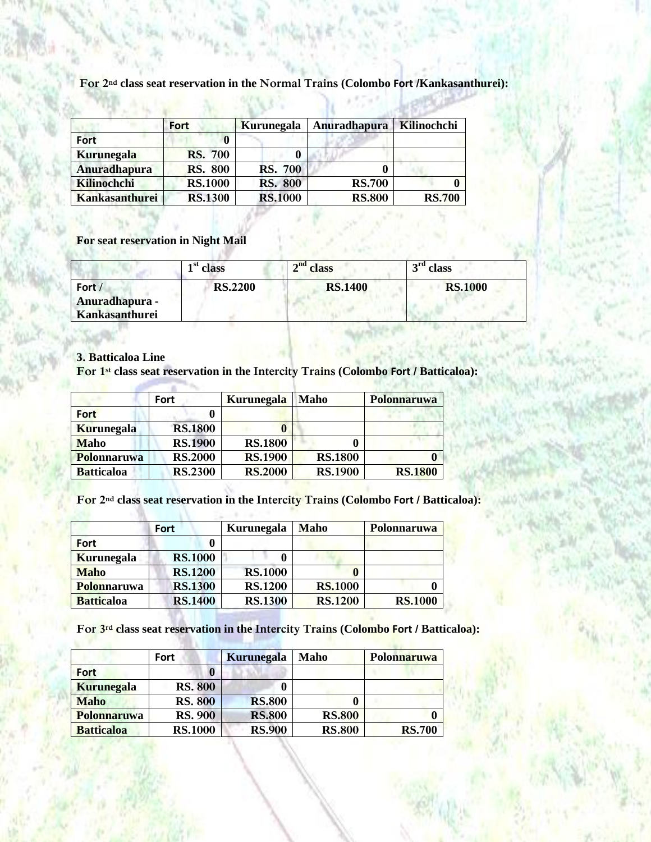**For 2nd class seat reservation in the Normal Trains (Colombo Fort /Kankasanthurei):**

- 77

**ANTIFICATION AND ARRESTS** 

|                       | <b>Fort</b>    | Kurunegala     | <b>Anuradhapura</b> | Kilinochchi   |  |
|-----------------------|----------------|----------------|---------------------|---------------|--|
| <b>Fort</b>           |                |                |                     |               |  |
| <b>Kurunegala</b>     | <b>RS. 700</b> |                |                     |               |  |
| <b>Anuradhapura</b>   | <b>RS. 800</b> | <b>RS. 700</b> |                     |               |  |
| Kilinochchi           | <b>RS.1000</b> | <b>RS. 800</b> | <b>RS.700</b>       |               |  |
| <b>Kankasanthurei</b> | <b>RS.1300</b> | <b>RS.1000</b> | <b>RS.800</b>       | <b>RS.700</b> |  |

All Come All Comes and

**For seat reservation in Night Mail** 

|                                            | 1 <sup>st</sup> class | $\mathbf{a}^{\rm nd}$ class | $\overline{\text{ }^{rd}}$ class |
|--------------------------------------------|-----------------------|-----------------------------|----------------------------------|
| Fort /<br>Anuradhapura -<br>Kankasanthurei | <b>RS.2200</b>        | <b>RS.1400</b>              | <b>RS.1000</b>                   |

#### **3. Batticaloa Line**

**For 1st class seat reservation in the Intercity Trains (Colombo Fort / Batticaloa):**

|                    | Fort           | Kurunegala     | <b>Maho</b>    | <b>Polonnaruwa</b> |
|--------------------|----------------|----------------|----------------|--------------------|
| <b>Fort</b>        |                |                |                |                    |
| <b>Kurunegala</b>  | <b>RS.1800</b> |                |                |                    |
| <b>Maho</b>        | <b>RS.1900</b> | <b>RS.1800</b> |                |                    |
| <b>Polonnaruwa</b> | <b>RS.2000</b> | <b>RS.1900</b> | <b>RS.1800</b> |                    |
| <b>Batticaloa</b>  | <b>RS.2300</b> | <b>RS.2000</b> | <b>RS.1900</b> | <b>RS.1800</b>     |

**For 2nd class seat reservation in the Intercity Trains (Colombo Fort / Batticaloa):**

|                    | <b>Fort</b>    | <b>Kurunegala</b> | Maho           | <b>Polonnaruwa</b> |
|--------------------|----------------|-------------------|----------------|--------------------|
| <b>Fort</b>        |                |                   |                |                    |
| <b>Kurunegala</b>  | <b>RS.1000</b> |                   |                |                    |
| <b>Maho</b>        | <b>RS.1200</b> | <b>RS.1000</b>    |                |                    |
| <b>Polonnaruwa</b> | <b>RS.1300</b> | <b>RS.1200</b>    | <b>RS.1000</b> |                    |
| <b>Batticaloa</b>  | <b>RS.1400</b> | <b>RS.1300</b>    | <b>RS.1200</b> | <b>RS.1000</b>     |

with the state

**For 3rd class seat reservation in the Intercity Trains (Colombo Fort / Batticaloa):**

|                   | <b>Fort</b>    | <b>Kurunegala</b> | Maho          | Polonnaruwa   |
|-------------------|----------------|-------------------|---------------|---------------|
| <b>Fort</b>       |                |                   |               |               |
| <b>Kurunegala</b> | <b>RS. 800</b> |                   |               |               |
| <b>Maho</b>       | <b>RS. 800</b> | <b>RS.800</b>     |               |               |
| Polonnaruwa       | <b>RS. 900</b> | <b>RS.800</b>     | <b>RS.800</b> |               |
| <b>Batticaloa</b> | <b>RS.1000</b> | <b>RS.900</b>     | <b>RS.800</b> | <b>RS.700</b> |